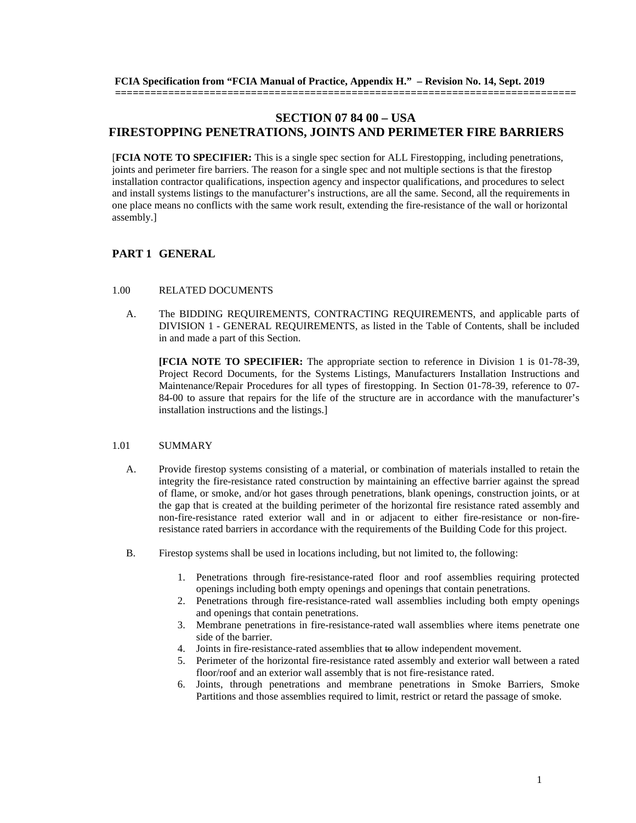# **SECTION 07 84 00 – USA FIRESTOPPING PENETRATIONS, JOINTS AND PERIMETER FIRE BARRIERS**

**==============================================================================**

[**FCIA NOTE TO SPECIFIER:** This is a single spec section for ALL Firestopping, including penetrations, joints and perimeter fire barriers. The reason for a single spec and not multiple sections is that the firestop installation contractor qualifications, inspection agency and inspector qualifications, and procedures to select and install systems listings to the manufacturer's instructions, are all the same. Second, all the requirements in one place means no conflicts with the same work result, extending the fire-resistance of the wall or horizontal assembly.]

# **PART 1 GENERAL**

#### 1.00 RELATED DOCUMENTS

A. The BIDDING REQUIREMENTS, CONTRACTING REQUIREMENTS, and applicable parts of DIVISION 1 - GENERAL REQUIREMENTS, as listed in the Table of Contents, shall be included in and made a part of this Section.

**[FCIA NOTE TO SPECIFIER:** The appropriate section to reference in Division 1 is 01-78-39, Project Record Documents, for the Systems Listings, Manufacturers Installation Instructions and Maintenance/Repair Procedures for all types of firestopping. In Section 01-78-39, reference to 07- 84-00 to assure that repairs for the life of the structure are in accordance with the manufacturer's installation instructions and the listings.]

#### 1.01 SUMMARY

- A. Provide firestop systems consisting of a material, or combination of materials installed to retain the integrity the fire-resistance rated construction by maintaining an effective barrier against the spread of flame, or smoke, and/or hot gases through penetrations, blank openings, construction joints, or at the gap that is created at the building perimeter of the horizontal fire resistance rated assembly and non-fire-resistance rated exterior wall and in or adjacent to either fire-resistance or non-fireresistance rated barriers in accordance with the requirements of the Building Code for this project.
- B. Firestop systems shall be used in locations including, but not limited to, the following:
	- 1. Penetrations through fire-resistance-rated floor and roof assemblies requiring protected openings including both empty openings and openings that contain penetrations.
	- 2. Penetrations through fire-resistance-rated wall assemblies including both empty openings and openings that contain penetrations.
	- 3. Membrane penetrations in fire-resistance-rated wall assemblies where items penetrate one side of the barrier.
	- 4. Joints in fire-resistance-rated assemblies that to allow independent movement.
	- 5. Perimeter of the horizontal fire-resistance rated assembly and exterior wall between a rated floor/roof and an exterior wall assembly that is not fire-resistance rated.
	- 6. Joints, through penetrations and membrane penetrations in Smoke Barriers, Smoke Partitions and those assemblies required to limit, restrict or retard the passage of smoke.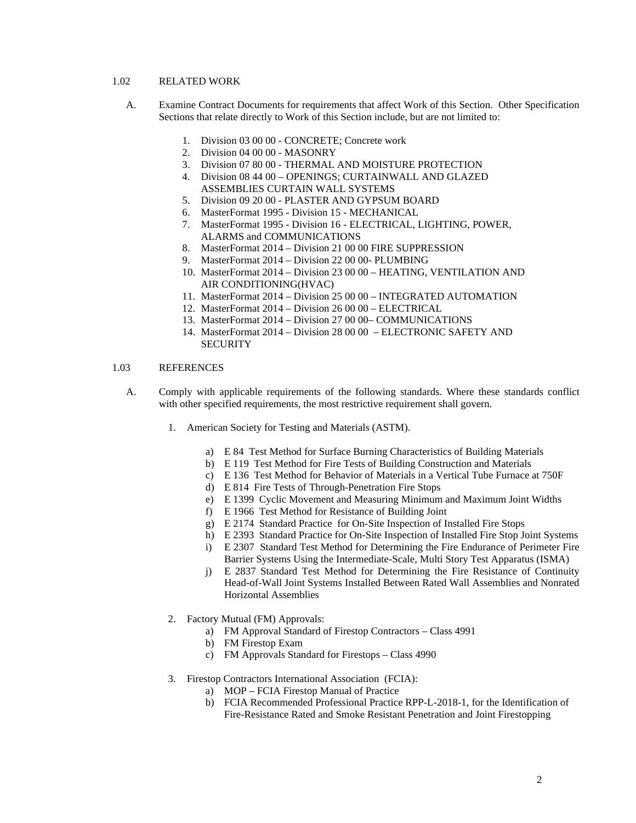## 1.02 RELATED WORK

- A. Examine Contract Documents for requirements that affect Work of this Section. Other Specification Sections that relate directly to Work of this Section include, but are not limited to:
	- 1. Division 03 00 00 CONCRETE; Concrete work
	- 2. Division 04 00 00 MASONRY
	- 3. Division 07 80 00 THERMAL AND MOISTURE PROTECTION
	- 4. Division 08 44 00 OPENINGS; CURTAINWALL AND GLAZED ASSEMBLIES CURTAIN WALL SYSTEMS
	- 5. Division 09 20 00 PLASTER AND GYPSUM BOARD
	- 6. MasterFormat 1995 Division 15 MECHANICAL
	- 7. MasterFormat 1995 Division 16 ELECTRICAL, LIGHTING, POWER, ALARMS and COMMUNICATIONS
	- 8. MasterFormat 2014 Division 21 00 00 FIRE SUPPRESSION
	- 9. MasterFormat 2014 Division 22 00 00- PLUMBING
	- 10. MasterFormat 2014 Division 23 00 00 HEATING, VENTILATION AND AIR CONDITIONING(HVAC)
	- 11. MasterFormat 2014 Division 25 00 00 INTEGRATED AUTOMATION
	- 12. MasterFormat 2014 Division 26 00 00 ELECTRICAL
	- 13. MasterFormat 2014 Division 27 00 00– COMMUNICATIONS
	- 14. MasterFormat 2014 Division 28 00 00 ELECTRONIC SAFETY AND **SECURITY**

## 1.03 REFERENCES

- A. Comply with applicable requirements of the following standards. Where these standards conflict with other specified requirements, the most restrictive requirement shall govern.
	- 1. American Society for Testing and Materials (ASTM).
		- a) E 84 Test Method for Surface Burning Characteristics of Building Materials
		- b) E 119 Test Method for Fire Tests of Building Construction and Materials
		- c) E 136 Test Method for Behavior of Materials in a Vertical Tube Furnace at 750F
		- d) E 814 Fire Tests of Through-Penetration Fire Stops
		- e) E 1399 Cyclic Movement and Measuring Minimum and Maximum Joint Widths
		- f) E 1966 Test Method for Resistance of Building Joint
		- g) E 2174 Standard Practice for On-Site Inspection of Installed Fire Stops
		- h) E 2393 Standard Practice for On-Site Inspection of Installed Fire Stop Joint Systems
		- i) E 2307 Standard Test Method for Determining the Fire Endurance of Perimeter Fire Barrier Systems Using the Intermediate-Scale, Multi Story Test Apparatus (ISMA)
		- j) E 2837 Standard Test Method for Determining the Fire Resistance of Continuity Head-of-Wall Joint Systems Installed Between Rated Wall Assemblies and Nonrated Horizontal Assemblies
	- 2. Factory Mutual (FM) Approvals:
		- a) FM Approval Standard of Firestop Contractors Class 4991
		- b) FM Firestop Exam
		- c) FM Approvals Standard for Firestops Class 4990
	- 3. Firestop Contractors International Association (FCIA):
		- a) MOP FCIA Firestop Manual of Practice
		- b) FCIA Recommended Professional Practice RPP-L-2018-1, for the Identification of Fire-Resistance Rated and Smoke Resistant Penetration and Joint Firestopping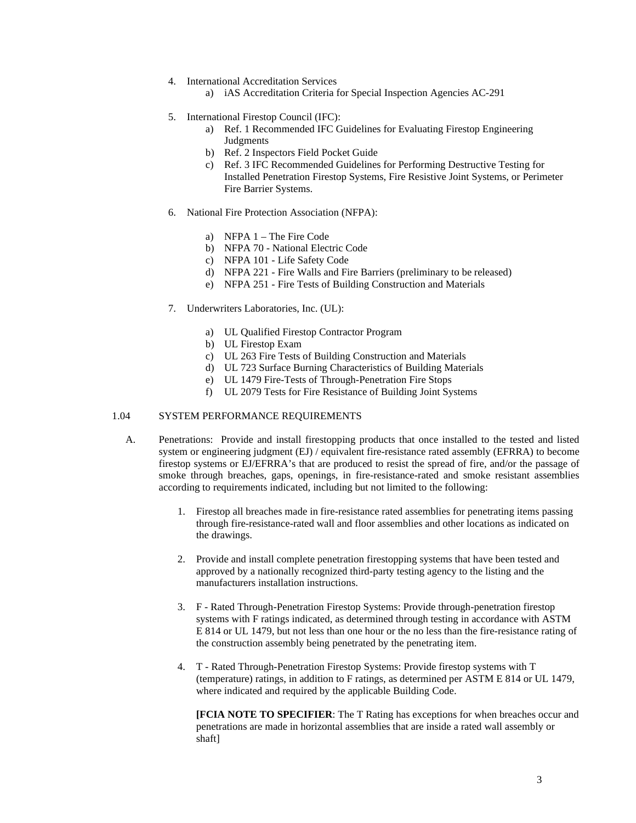- 4. International Accreditation Services
	- a) iAS Accreditation Criteria for Special Inspection Agencies AC-291
- 5. International Firestop Council (IFC):
	- a) Ref. 1 Recommended IFC Guidelines for Evaluating Firestop Engineering Judgments
	- b) Ref. 2 Inspectors Field Pocket Guide
	- c) Ref. 3 IFC Recommended Guidelines for Performing Destructive Testing for Installed Penetration Firestop Systems, Fire Resistive Joint Systems, or Perimeter Fire Barrier Systems.
- 6. National Fire Protection Association (NFPA):
	- a) NFPA  $1$  The Fire Code
	- b) NFPA 70 National Electric Code
	- c) NFPA 101 Life Safety Code
	- d) NFPA 221 Fire Walls and Fire Barriers (preliminary to be released)
	- e) NFPA 251 Fire Tests of Building Construction and Materials
- 7. Underwriters Laboratories, Inc. (UL):
	- a) UL Qualified Firestop Contractor Program
	- b) UL Firestop Exam
	- c) UL 263 Fire Tests of Building Construction and Materials
	- d) UL 723 Surface Burning Characteristics of Building Materials
	- e) UL 1479 Fire-Tests of Through-Penetration Fire Stops
	- f) UL 2079 Tests for Fire Resistance of Building Joint Systems

## 1.04 SYSTEM PERFORMANCE REQUIREMENTS

- A. Penetrations: Provide and install firestopping products that once installed to the tested and listed system or engineering judgment (EJ) / equivalent fire-resistance rated assembly (EFRRA) to become firestop systems or EJ/EFRRA's that are produced to resist the spread of fire, and/or the passage of smoke through breaches, gaps, openings, in fire-resistance-rated and smoke resistant assemblies according to requirements indicated, including but not limited to the following:
	- 1. Firestop all breaches made in fire-resistance rated assemblies for penetrating items passing through fire-resistance-rated wall and floor assemblies and other locations as indicated on the drawings.
	- 2. Provide and install complete penetration firestopping systems that have been tested and approved by a nationally recognized third-party testing agency to the listing and the manufacturers installation instructions.
	- 3. F Rated Through-Penetration Firestop Systems: Provide through-penetration firestop systems with F ratings indicated, as determined through testing in accordance with ASTM E 814 or UL 1479, but not less than one hour or the no less than the fire-resistance rating of the construction assembly being penetrated by the penetrating item.
	- 4. T Rated Through-Penetration Firestop Systems: Provide firestop systems with T (temperature) ratings, in addition to F ratings, as determined per ASTM E 814 or UL 1479, where indicated and required by the applicable Building Code.

**[FCIA NOTE TO SPECIFIER**: The T Rating has exceptions for when breaches occur and penetrations are made in horizontal assemblies that are inside a rated wall assembly or shaft]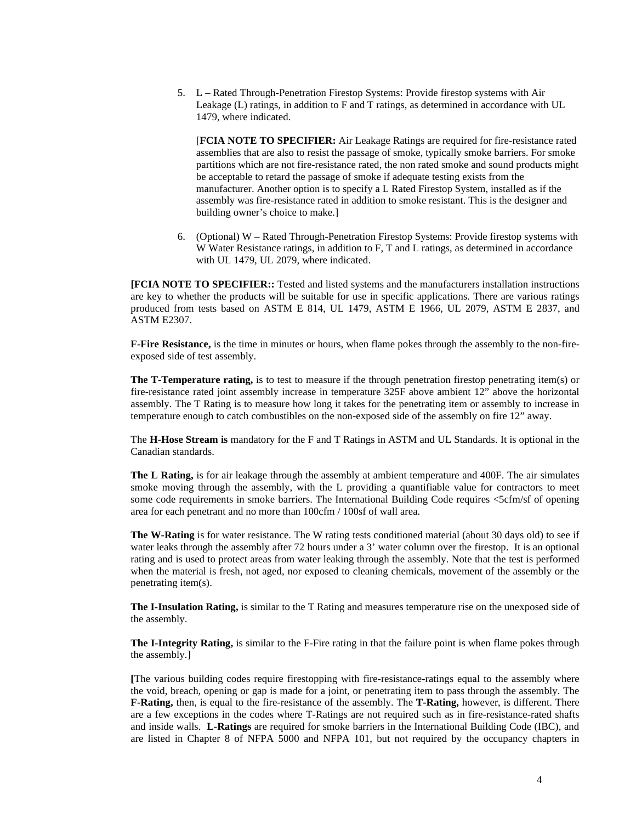5. L – Rated Through-Penetration Firestop Systems: Provide firestop systems with Air Leakage (L) ratings, in addition to F and T ratings, as determined in accordance with UL 1479, where indicated.

[**FCIA NOTE TO SPECIFIER:** Air Leakage Ratings are required for fire-resistance rated assemblies that are also to resist the passage of smoke, typically smoke barriers. For smoke partitions which are not fire-resistance rated, the non rated smoke and sound products might be acceptable to retard the passage of smoke if adequate testing exists from the manufacturer. Another option is to specify a L Rated Firestop System, installed as if the assembly was fire-resistance rated in addition to smoke resistant. This is the designer and building owner's choice to make.]

6. (Optional) W – Rated Through-Penetration Firestop Systems: Provide firestop systems with W Water Resistance ratings, in addition to F, T and L ratings, as determined in accordance with UL 1479, UL 2079, where indicated.

**[FCIA NOTE TO SPECIFIER::** Tested and listed systems and the manufacturers installation instructions are key to whether the products will be suitable for use in specific applications. There are various ratings produced from tests based on ASTM E 814, UL 1479, ASTM E 1966, UL 2079, ASTM E 2837, and ASTM E2307.

**F-Fire Resistance,** is the time in minutes or hours, when flame pokes through the assembly to the non-fireexposed side of test assembly.

**The T-Temperature rating,** is to test to measure if the through penetration firestop penetrating item(s) or fire-resistance rated joint assembly increase in temperature 325F above ambient 12" above the horizontal assembly. The T Rating is to measure how long it takes for the penetrating item or assembly to increase in temperature enough to catch combustibles on the non-exposed side of the assembly on fire 12" away.

The **H-Hose Stream is** mandatory for the F and T Ratings in ASTM and UL Standards. It is optional in the Canadian standards.

**The L Rating,** is for air leakage through the assembly at ambient temperature and 400F. The air simulates smoke moving through the assembly, with the L providing a quantifiable value for contractors to meet some code requirements in smoke barriers. The International Building Code requires <5cfm/sf of opening area for each penetrant and no more than 100cfm / 100sf of wall area.

**The W-Rating** is for water resistance. The W rating tests conditioned material (about 30 days old) to see if water leaks through the assembly after 72 hours under a 3' water column over the firestop. It is an optional rating and is used to protect areas from water leaking through the assembly. Note that the test is performed when the material is fresh, not aged, nor exposed to cleaning chemicals, movement of the assembly or the penetrating item(s).

**The I-Insulation Rating,** is similar to the T Rating and measures temperature rise on the unexposed side of the assembly.

**The I-Integrity Rating,** is similar to the F-Fire rating in that the failure point is when flame pokes through the assembly.]

**[**The various building codes require firestopping with fire-resistance-ratings equal to the assembly where the void, breach, opening or gap is made for a joint, or penetrating item to pass through the assembly. The **F-Rating,** then, is equal to the fire-resistance of the assembly. The **T-Rating,** however, is different. There are a few exceptions in the codes where T-Ratings are not required such as in fire-resistance-rated shafts and inside walls. **L-Ratings** are required for smoke barriers in the International Building Code (IBC), and are listed in Chapter 8 of NFPA 5000 and NFPA 101, but not required by the occupancy chapters in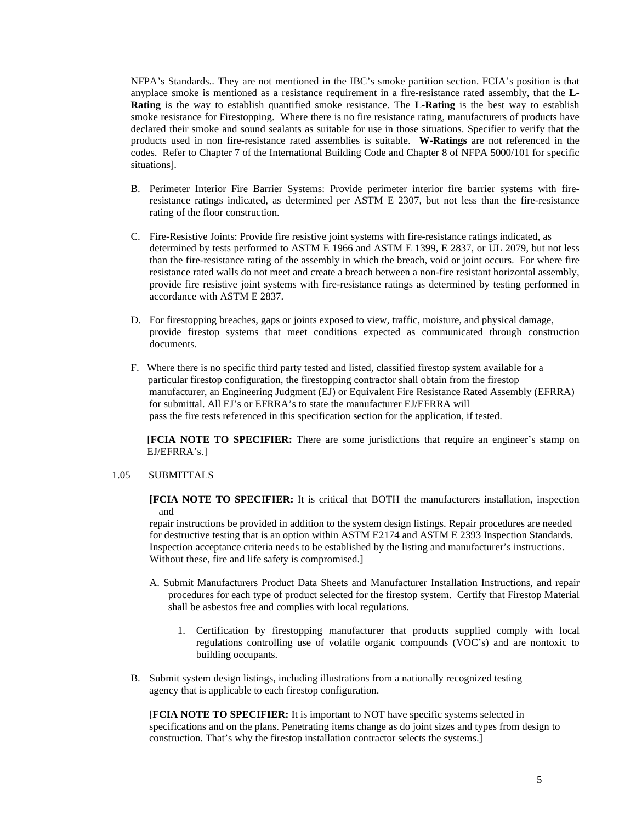NFPA's Standards.. They are not mentioned in the IBC's smoke partition section. FCIA's position is that anyplace smoke is mentioned as a resistance requirement in a fire-resistance rated assembly, that the **L-Rating** is the way to establish quantified smoke resistance. The **L-Rating** is the best way to establish smoke resistance for Firestopping. Where there is no fire resistance rating, manufacturers of products have declared their smoke and sound sealants as suitable for use in those situations. Specifier to verify that the products used in non fire-resistance rated assemblies is suitable. **W-Ratings** are not referenced in the codes. Refer to Chapter 7 of the International Building Code and Chapter 8 of NFPA 5000/101 for specific situations].

- B. Perimeter Interior Fire Barrier Systems: Provide perimeter interior fire barrier systems with fireresistance ratings indicated, as determined per ASTM E 2307, but not less than the fire-resistance rating of the floor construction.
- C. Fire-Resistive Joints: Provide fire resistive joint systems with fire-resistance ratings indicated, as determined by tests performed to ASTM E 1966 and ASTM E 1399, E 2837, or UL 2079, but not less than the fire-resistance rating of the assembly in which the breach, void or joint occurs. For where fire resistance rated walls do not meet and create a breach between a non-fire resistant horizontal assembly, provide fire resistive joint systems with fire-resistance ratings as determined by testing performed in accordance with ASTM E 2837.
- D. For firestopping breaches, gaps or joints exposed to view, traffic, moisture, and physical damage, provide firestop systems that meet conditions expected as communicated through construction documents.
- F. Where there is no specific third party tested and listed, classified firestop system available for a particular firestop configuration, the firestopping contractor shall obtain from the firestop manufacturer, an Engineering Judgment (EJ) or Equivalent Fire Resistance Rated Assembly (EFRRA) for submittal. All EJ's or EFRRA's to state the manufacturer EJ/EFRRA will pass the fire tests referenced in this specification section for the application, if tested.

[**FCIA NOTE TO SPECIFIER:** There are some jurisdictions that require an engineer's stamp on EJ/EFRRA's.]

### 1.05 SUBMITTALS

**[FCIA NOTE TO SPECIFIER:** It is critical that BOTH the manufacturers installation, inspection and

repair instructions be provided in addition to the system design listings. Repair procedures are needed for destructive testing that is an option within ASTM E2174 and ASTM E 2393 Inspection Standards. Inspection acceptance criteria needs to be established by the listing and manufacturer's instructions. Without these, fire and life safety is compromised.]

- A. Submit Manufacturers Product Data Sheets and Manufacturer Installation Instructions, and repair procedures for each type of product selected for the firestop system. Certify that Firestop Material shall be asbestos free and complies with local regulations.
	- 1. Certification by firestopping manufacturer that products supplied comply with local regulations controlling use of volatile organic compounds (VOC's) and are nontoxic to building occupants.
- B. Submit system design listings, including illustrations from a nationally recognized testing agency that is applicable to each firestop configuration.

 [**FCIA NOTE TO SPECIFIER:** It is important to NOT have specific systems selected in specifications and on the plans. Penetrating items change as do joint sizes and types from design to construction. That's why the firestop installation contractor selects the systems.]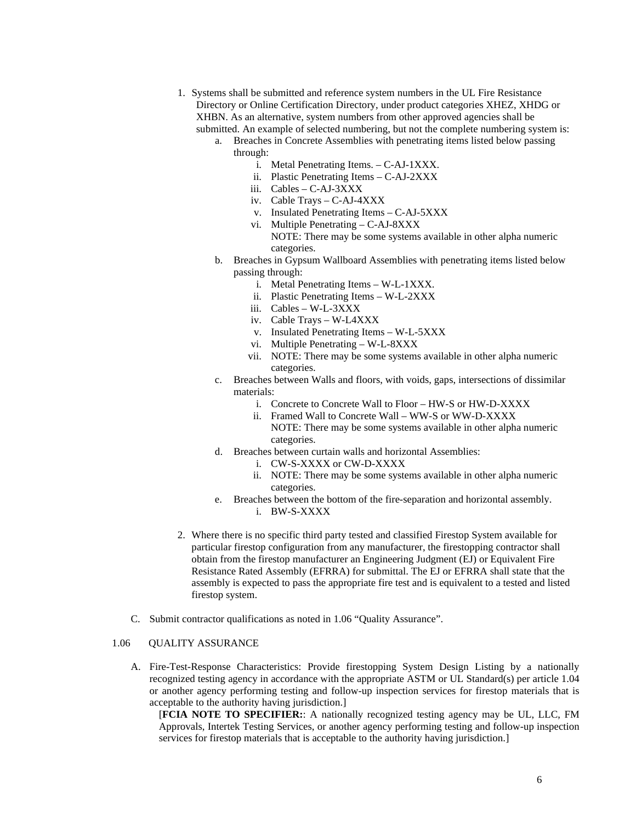- 1. Systems shall be submitted and reference system numbers in the UL Fire Resistance Directory or Online Certification Directory, under product categories XHEZ, XHDG or XHBN. As an alternative, system numbers from other approved agencies shall be submitted. An example of selected numbering, but not the complete numbering system is:
	- a. Breaches in Concrete Assemblies with penetrating items listed below passing through:
		- i. Metal Penetrating Items. C-AJ-1XXX.
		- ii. Plastic Penetrating Items C-AJ-2XXX
		- iii. Cables C-AJ-3XXX
		- iv. Cable Trays C-AJ-4XXX
		- v. Insulated Penetrating Items C-AJ-5XXX
		- vi. Multiple Penetrating C-AJ-8XXX NOTE: There may be some systems available in other alpha numeric categories.
	- b. Breaches in Gypsum Wallboard Assemblies with penetrating items listed below passing through:
		- i. Metal Penetrating Items W-L-1XXX.
		- ii. Plastic Penetrating Items W-L-2XXX
		- iii. Cables W-L-3XXX
		- iv. Cable Trays W-L4XXX
		- v. Insulated Penetrating Items W-L-5XXX
		- vi. Multiple Penetrating W-L-8XXX
		- vii. NOTE: There may be some systems available in other alpha numeric categories.
	- c. Breaches between Walls and floors, with voids, gaps, intersections of dissimilar materials:
		- i. Concrete to Concrete Wall to Floor HW-S or HW-D-XXXX
		- ii. Framed Wall to Concrete Wall WW-S or WW-D-XXXX NOTE: There may be some systems available in other alpha numeric categories.
	- d. Breaches between curtain walls and horizontal Assemblies:
		- i. CW-S-XXXX or CW-D-XXXX
		- ii. NOTE: There may be some systems available in other alpha numeric categories.
	- e. Breaches between the bottom of the fire-separation and horizontal assembly. i. BW-S-XXXX
- 2. Where there is no specific third party tested and classified Firestop System available for particular firestop configuration from any manufacturer, the firestopping contractor shall obtain from the firestop manufacturer an Engineering Judgment (EJ) or Equivalent Fire Resistance Rated Assembly (EFRRA) for submittal. The EJ or EFRRA shall state that the assembly is expected to pass the appropriate fire test and is equivalent to a tested and listed firestop system.
- C. Submit contractor qualifications as noted in 1.06 "Quality Assurance".

### 1.06 QUALITY ASSURANCE

A. Fire-Test-Response Characteristics: Provide firestopping System Design Listing by a nationally recognized testing agency in accordance with the appropriate ASTM or UL Standard(s) per article 1.04 or another agency performing testing and follow-up inspection services for firestop materials that is acceptable to the authority having jurisdiction.]

[**FCIA NOTE TO SPECIFIER:**: A nationally recognized testing agency may be UL, LLC, FM Approvals, Intertek Testing Services, or another agency performing testing and follow-up inspection services for firestop materials that is acceptable to the authority having jurisdiction.]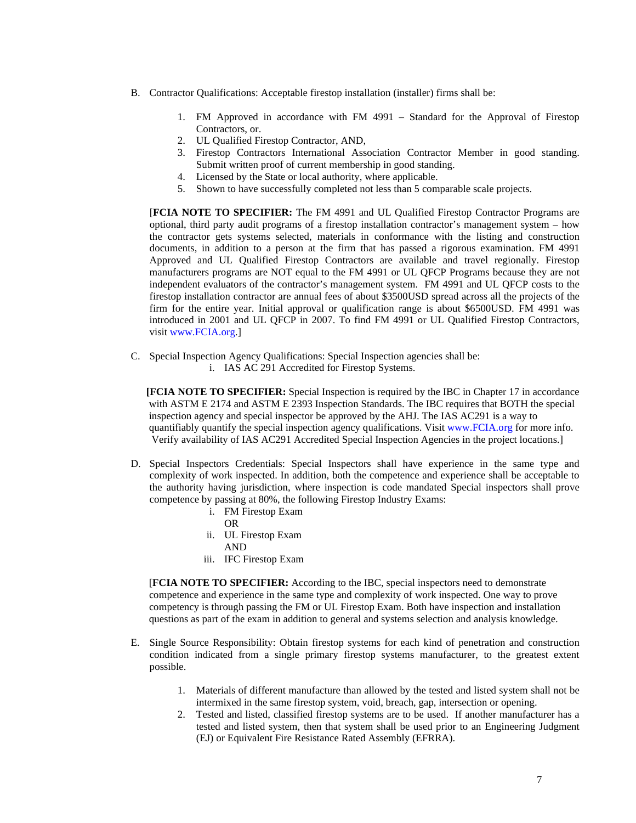- B. Contractor Qualifications: Acceptable firestop installation (installer) firms shall be:
	- 1. FM Approved in accordance with FM 4991 Standard for the Approval of Firestop Contractors, or.
	- 2. UL Qualified Firestop Contractor, AND,
	- 3. Firestop Contractors International Association Contractor Member in good standing. Submit written proof of current membership in good standing.
	- 4. Licensed by the State or local authority, where applicable.
	- 5. Shown to have successfully completed not less than 5 comparable scale projects.

[**FCIA NOTE TO SPECIFIER:** The FM 4991 and UL Qualified Firestop Contractor Programs are optional, third party audit programs of a firestop installation contractor's management system – how the contractor gets systems selected, materials in conformance with the listing and construction documents, in addition to a person at the firm that has passed a rigorous examination. FM 4991 Approved and UL Qualified Firestop Contractors are available and travel regionally. Firestop manufacturers programs are NOT equal to the FM 4991 or UL QFCP Programs because they are not independent evaluators of the contractor's management system. FM 4991 and UL QFCP costs to the firestop installation contractor are annual fees of about \$3500USD spread across all the projects of the firm for the entire year. Initial approval or qualification range is about \$6500USD. FM 4991 was introduced in 2001 and UL QFCP in 2007. To find FM 4991 or UL Qualified Firestop Contractors, visi[t www.FCIA.org.](http://www.fcia.org/)]

C. Special Inspection Agency Qualifications: Special Inspection agencies shall be: i. IAS AC 291 Accredited for Firestop Systems.

 **[FCIA NOTE TO SPECIFIER:** Special Inspection is required by the IBC in Chapter 17 in accordance with ASTM E 2174 and ASTM E 2393 Inspection Standards. The IBC requires that BOTH the special inspection agency and special inspector be approved by the AHJ. The IAS AC291 is a way to quantifiably quantify the special inspection agency qualifications. Visit [www.FCIA.org](http://www.fcia.org/) for more info. Verify availability of IAS AC291 Accredited Special Inspection Agencies in the project locations.]

- D. Special Inspectors Credentials: Special Inspectors shall have experience in the same type and complexity of work inspected. In addition, both the competence and experience shall be acceptable to the authority having jurisdiction, where inspection is code mandated Special inspectors shall prove competence by passing at 80%, the following Firestop Industry Exams:
	- i. FM Firestop Exam
		- OR
	- ii. UL Firestop Exam
		- AND
	- iii. IFC Firestop Exam

 [**FCIA NOTE TO SPECIFIER:** According to the IBC, special inspectors need to demonstrate competence and experience in the same type and complexity of work inspected. One way to prove competency is through passing the FM or UL Firestop Exam. Both have inspection and installation questions as part of the exam in addition to general and systems selection and analysis knowledge.

- E. Single Source Responsibility: Obtain firestop systems for each kind of penetration and construction condition indicated from a single primary firestop systems manufacturer, to the greatest extent possible.
	- 1. Materials of different manufacture than allowed by the tested and listed system shall not be intermixed in the same firestop system, void, breach, gap, intersection or opening.
	- 2. Tested and listed, classified firestop systems are to be used. If another manufacturer has a tested and listed system, then that system shall be used prior to an Engineering Judgment (EJ) or Equivalent Fire Resistance Rated Assembly (EFRRA).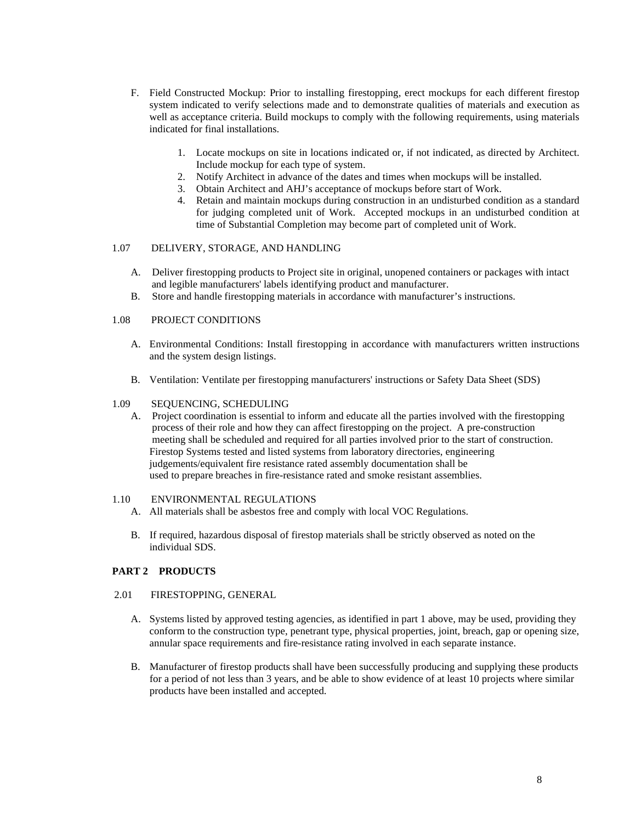- F. Field Constructed Mockup: Prior to installing firestopping, erect mockups for each different firestop system indicated to verify selections made and to demonstrate qualities of materials and execution as well as acceptance criteria. Build mockups to comply with the following requirements, using materials indicated for final installations.
	- 1. Locate mockups on site in locations indicated or, if not indicated, as directed by Architect. Include mockup for each type of system.
	- 2. Notify Architect in advance of the dates and times when mockups will be installed.
	- 3. Obtain Architect and AHJ's acceptance of mockups before start of Work.
	- 4. Retain and maintain mockups during construction in an undisturbed condition as a standard for judging completed unit of Work. Accepted mockups in an undisturbed condition at time of Substantial Completion may become part of completed unit of Work.

## 1.07 DELIVERY, STORAGE, AND HANDLING

- A. Deliver firestopping products to Project site in original, unopened containers or packages with intact and legible manufacturers' labels identifying product and manufacturer.
- B. Store and handle firestopping materials in accordance with manufacturer's instructions.

## 1.08 PROJECT CONDITIONS

- A. Environmental Conditions: Install firestopping in accordance with manufacturers written instructions and the system design listings.
- B. Ventilation: Ventilate per firestopping manufacturers' instructions or Safety Data Sheet (SDS)

#### 1.09 SEQUENCING, SCHEDULING

A. Project coordination is essential to inform and educate all the parties involved with the firestopping process of their role and how they can affect firestopping on the project. A pre-construction meeting shall be scheduled and required for all parties involved prior to the start of construction. Firestop Systems tested and listed systems from laboratory directories, engineering judgements/equivalent fire resistance rated assembly documentation shall be used to prepare breaches in fire-resistance rated and smoke resistant assemblies.

### 1.10 ENVIRONMENTAL REGULATIONS

- A. All materials shall be asbestos free and comply with local VOC Regulations.
- B. If required, hazardous disposal of firestop materials shall be strictly observed as noted on the individual SDS.

#### **PART 2 PRODUCTS**

#### 2.01 FIRESTOPPING, GENERAL

- A. Systems listed by approved testing agencies, as identified in part 1 above, may be used, providing they conform to the construction type, penetrant type, physical properties, joint, breach, gap or opening size, annular space requirements and fire-resistance rating involved in each separate instance.
- B. Manufacturer of firestop products shall have been successfully producing and supplying these products for a period of not less than 3 years, and be able to show evidence of at least 10 projects where similar products have been installed and accepted.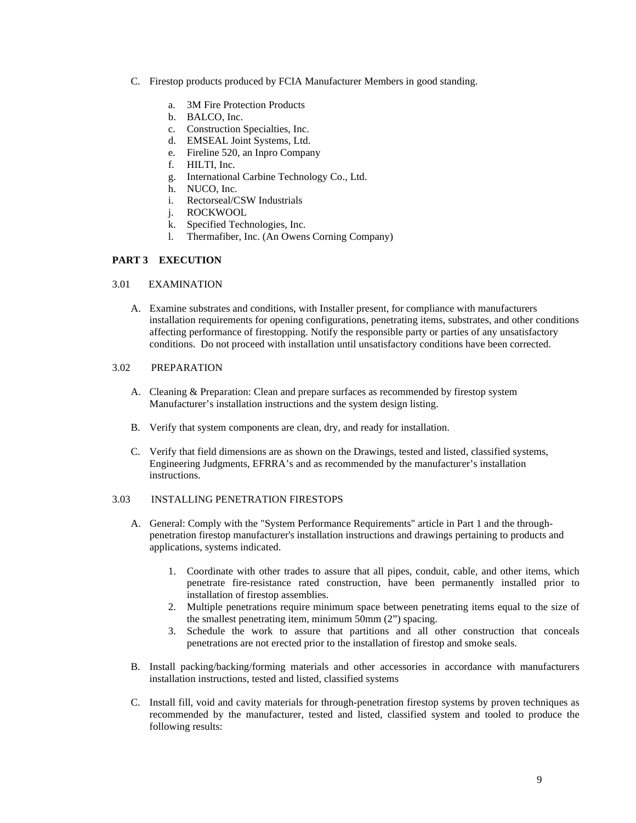- C. Firestop products produced by FCIA Manufacturer Members in good standing.
	- a. 3M Fire Protection Products
	- b. BALCO, Inc.
	- c. Construction Specialties, Inc.
	- d. EMSEAL Joint Systems, Ltd.
	- e. Fireline 520, an Inpro Company
	- f. HILTI, Inc.
	- g. International Carbine Technology Co., Ltd.
	- h. NUCO, Inc.
	- i. Rectorseal/CSW Industrials
	- j. ROCKWOOL
	- k. Specified Technologies, Inc.
	- l. Thermafiber, Inc. (An Owens Corning Company)

## **PART 3 EXECUTION**

#### 3.01 EXAMINATION

A. Examine substrates and conditions, with Installer present, for compliance with manufacturers installation requirements for opening configurations, penetrating items, substrates, and other conditions affecting performance of firestopping. Notify the responsible party or parties of any unsatisfactory conditions. Do not proceed with installation until unsatisfactory conditions have been corrected.

## 3.02 PREPARATION

- A. Cleaning & Preparation: Clean and prepare surfaces as recommended by firestop system Manufacturer's installation instructions and the system design listing.
- B. Verify that system components are clean, dry, and ready for installation.
- C. Verify that field dimensions are as shown on the Drawings, tested and listed, classified systems, Engineering Judgments, EFRRA's and as recommended by the manufacturer's installation instructions.

### 3.03 INSTALLING PENETRATION FIRESTOPS

- A. General: Comply with the "System Performance Requirements" article in Part 1 and the throughpenetration firestop manufacturer's installation instructions and drawings pertaining to products and applications, systems indicated.
	- 1. Coordinate with other trades to assure that all pipes, conduit, cable, and other items, which penetrate fire-resistance rated construction, have been permanently installed prior to installation of firestop assemblies.
	- 2. Multiple penetrations require minimum space between penetrating items equal to the size of the smallest penetrating item, minimum 50mm (2") spacing.
	- 3. Schedule the work to assure that partitions and all other construction that conceals penetrations are not erected prior to the installation of firestop and smoke seals.
- B. Install packing/backing/forming materials and other accessories in accordance with manufacturers installation instructions, tested and listed, classified systems
- C. Install fill, void and cavity materials for through-penetration firestop systems by proven techniques as recommended by the manufacturer, tested and listed, classified system and tooled to produce the following results: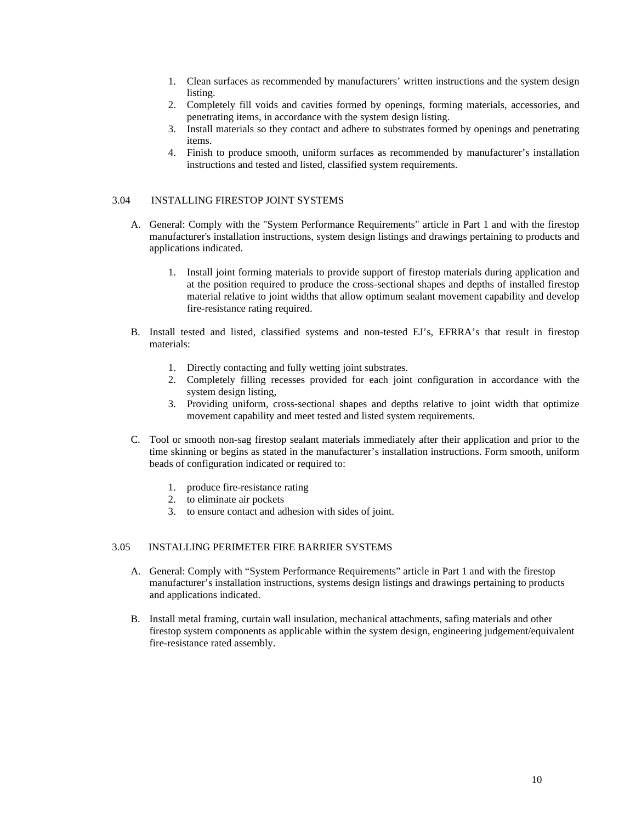- 1. Clean surfaces as recommended by manufacturers' written instructions and the system design listing.
- 2. Completely fill voids and cavities formed by openings, forming materials, accessories, and penetrating items, in accordance with the system design listing.
- 3. Install materials so they contact and adhere to substrates formed by openings and penetrating items.
- 4. Finish to produce smooth, uniform surfaces as recommended by manufacturer's installation instructions and tested and listed, classified system requirements.

## 3.04 INSTALLING FIRESTOP JOINT SYSTEMS

- A. General: Comply with the "System Performance Requirements" article in Part 1 and with the firestop manufacturer's installation instructions, system design listings and drawings pertaining to products and applications indicated.
	- 1. Install joint forming materials to provide support of firestop materials during application and at the position required to produce the cross-sectional shapes and depths of installed firestop material relative to joint widths that allow optimum sealant movement capability and develop fire-resistance rating required.
- B. Install tested and listed, classified systems and non-tested EJ's, EFRRA's that result in firestop materials:
	- 1. Directly contacting and fully wetting joint substrates.
	- 2. Completely filling recesses provided for each joint configuration in accordance with the system design listing,
	- 3. Providing uniform, cross-sectional shapes and depths relative to joint width that optimize movement capability and meet tested and listed system requirements.
- C. Tool or smooth non-sag firestop sealant materials immediately after their application and prior to the time skinning or begins as stated in the manufacturer's installation instructions. Form smooth, uniform beads of configuration indicated or required to:
	- 1. produce fire-resistance rating
	- 2. to eliminate air pockets
	- 3. to ensure contact and adhesion with sides of joint.

## 3.05 INSTALLING PERIMETER FIRE BARRIER SYSTEMS

- A. General: Comply with "System Performance Requirements" article in Part 1 and with the firestop manufacturer's installation instructions, systems design listings and drawings pertaining to products and applications indicated.
- B. Install metal framing, curtain wall insulation, mechanical attachments, safing materials and other firestop system components as applicable within the system design, engineering judgement/equivalent fire-resistance rated assembly.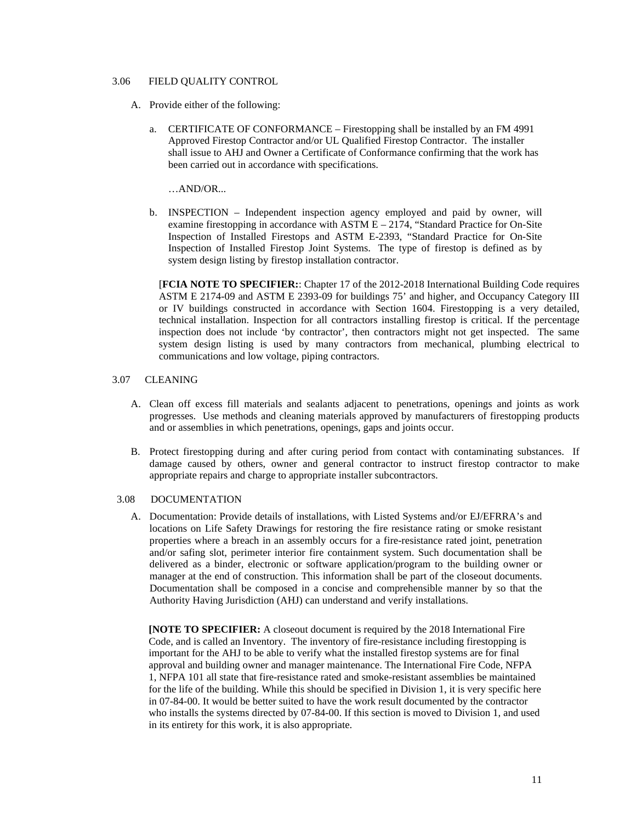## 3.06 FIELD QUALITY CONTROL

- A. Provide either of the following:
	- a. CERTIFICATE OF CONFORMANCE Firestopping shall be installed by an FM 4991 Approved Firestop Contractor and/or UL Qualified Firestop Contractor. The installer shall issue to AHJ and Owner a Certificate of Conformance confirming that the work has been carried out in accordance with specifications.

…AND/OR...

b. INSPECTION – Independent inspection agency employed and paid by owner, will examine firestopping in accordance with ASTM E – 2174, "Standard Practice for On-Site Inspection of Installed Firestops and ASTM E-2393, "Standard Practice for On-Site Inspection of Installed Firestop Joint Systems. The type of firestop is defined as by system design listing by firestop installation contractor.

[**FCIA NOTE TO SPECIFIER:**: Chapter 17 of the 2012-2018 International Building Code requires ASTM E 2174-09 and ASTM E 2393-09 for buildings 75' and higher, and Occupancy Category III or IV buildings constructed in accordance with Section 1604. Firestopping is a very detailed, technical installation. Inspection for all contractors installing firestop is critical. If the percentage inspection does not include 'by contractor', then contractors might not get inspected. The same system design listing is used by many contractors from mechanical, plumbing electrical to communications and low voltage, piping contractors.

#### 3.07 CLEANING

- A. Clean off excess fill materials and sealants adjacent to penetrations, openings and joints as work progresses. Use methods and cleaning materials approved by manufacturers of firestopping products and or assemblies in which penetrations, openings, gaps and joints occur.
- B. Protect firestopping during and after curing period from contact with contaminating substances. If damage caused by others, owner and general contractor to instruct firestop contractor to make appropriate repairs and charge to appropriate installer subcontractors.

#### 3.08 DOCUMENTATION

A. Documentation: Provide details of installations, with Listed Systems and/or EJ/EFRRA's and locations on Life Safety Drawings for restoring the fire resistance rating or smoke resistant properties where a breach in an assembly occurs for a fire-resistance rated joint, penetration and/or safing slot, perimeter interior fire containment system. Such documentation shall be delivered as a binder, electronic or software application/program to the building owner or manager at the end of construction. This information shall be part of the closeout documents. Documentation shall be composed in a concise and comprehensible manner by so that the Authority Having Jurisdiction (AHJ) can understand and verify installations.

**[NOTE TO SPECIFIER:** A closeout document is required by the 2018 International Fire Code, and is called an Inventory. The inventory of fire-resistance including firestopping is important for the AHJ to be able to verify what the installed firestop systems are for final approval and building owner and manager maintenance. The International Fire Code, NFPA 1, NFPA 101 all state that fire-resistance rated and smoke-resistant assemblies be maintained for the life of the building. While this should be specified in Division 1, it is very specific here in 07-84-00. It would be better suited to have the work result documented by the contractor who installs the systems directed by 07-84-00. If this section is moved to Division 1, and used in its entirety for this work, it is also appropriate.